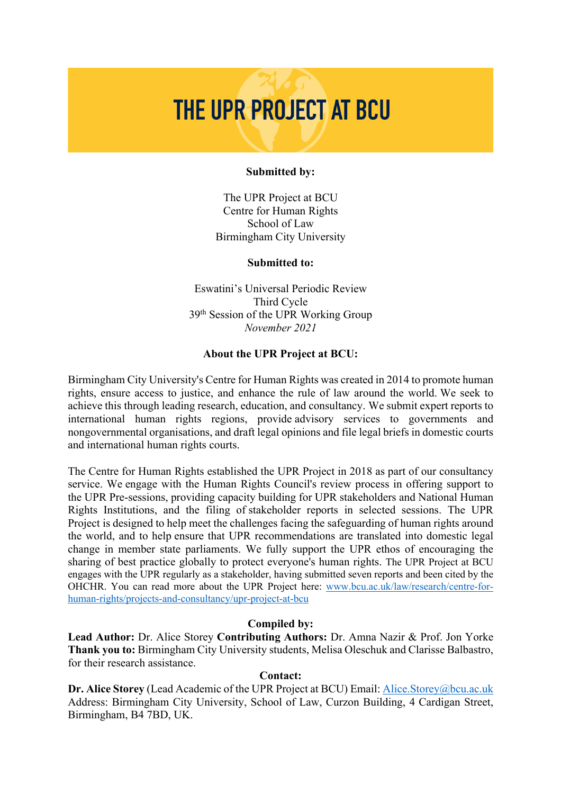# THE UPR PROJECT AT BCU

#### **Submitted by:**

The UPR Project at BCU Centre for Human Rights School of Law Birmingham City University

#### **Submitted to:**

Eswatini's Universal Periodic Review Third Cycle 39th Session of the UPR Working Group *November 2021*

#### **About the UPR Project at BCU:**

Birmingham City University's Centre for Human Rights was created in 2014 to promote human rights, ensure access to justice, and enhance the rule of law around the world. We seek to achieve this through leading research, education, and consultancy. We submit expert reports to international human rights regions, provide advisory services to governments and nongovernmental organisations, and draft legal opinions and file legal briefs in domestic courts and international human rights courts.

The Centre for Human Rights established the UPR Project in 2018 as part of our consultancy service. We engage with the Human Rights Council's review process in offering support to the UPR Pre-sessions, providing capacity building for UPR stakeholders and National Human Rights Institutions, and the filing of stakeholder reports in selected sessions. The UPR Project is designed to help meet the challenges facing the safeguarding of human rights around the world, and to help ensure that UPR recommendations are translated into domestic legal change in member state parliaments. We fully support the UPR ethos of encouraging the sharing of best practice globally to protect everyone's human rights. The UPR Project at BCU engages with the UPR regularly as a stakeholder, having submitted seven reports and been cited by the OHCHR. You can read more about the UPR Project here: www.bcu.ac.uk/law/research/centre-forhuman-rights/projects-and-consultancy/upr-project-at-bcu

#### **Compiled by:**

**Lead Author:** Dr. Alice Storey **Contributing Authors:** Dr. Amna Nazir & Prof. Jon Yorke **Thank you to:** Birmingham City University students, Melisa Oleschuk and Clarisse Balbastro, for their research assistance.

#### **Contact:**

**Dr. Alice Storey** (Lead Academic of the UPR Project at BCU) Email: Alice.Storey@bcu.ac.uk Address: Birmingham City University, School of Law, Curzon Building, 4 Cardigan Street, Birmingham, B4 7BD, UK.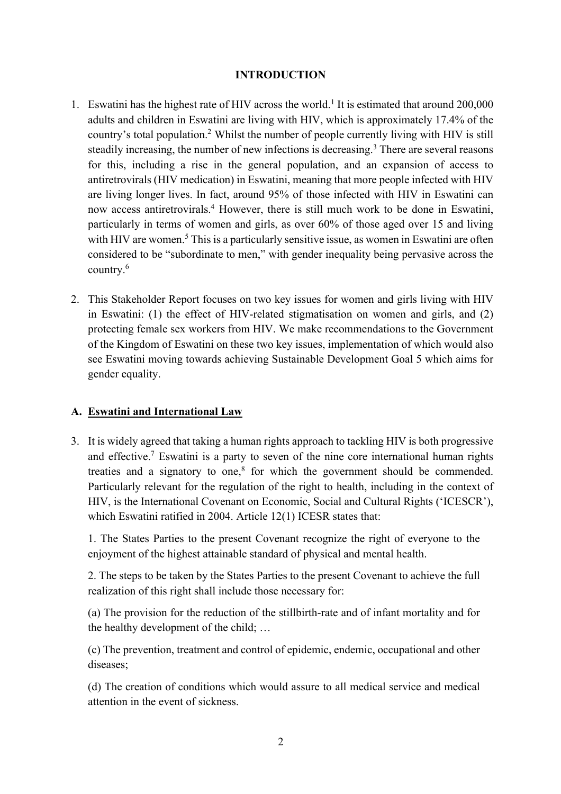## **INTRODUCTION**

- 1. Eswatini has the highest rate of HIV across the world.<sup>1</sup> It is estimated that around 200,000 adults and children in Eswatini are living with HIV, which is approximately 17.4% of the country's total population.2 Whilst the number of people currently living with HIV is still steadily increasing, the number of new infections is decreasing.<sup>3</sup> There are several reasons for this, including a rise in the general population, and an expansion of access to antiretrovirals (HIV medication) in Eswatini, meaning that more people infected with HIV are living longer lives. In fact, around 95% of those infected with HIV in Eswatini can now access antiretrovirals.4 However, there is still much work to be done in Eswatini, particularly in terms of women and girls, as over 60% of those aged over 15 and living with HIV are women.<sup>5</sup> This is a particularly sensitive issue, as women in Eswatini are often considered to be "subordinate to men," with gender inequality being pervasive across the country.6
- 2. This Stakeholder Report focuses on two key issues for women and girls living with HIV in Eswatini: (1) the effect of HIV-related stigmatisation on women and girls, and (2) protecting female sex workers from HIV. We make recommendations to the Government of the Kingdom of Eswatini on these two key issues, implementation of which would also see Eswatini moving towards achieving Sustainable Development Goal 5 which aims for gender equality.

## **A. Eswatini and International Law**

3. It is widely agreed that taking a human rights approach to tackling HIV is both progressive and effective.7 Eswatini is a party to seven of the nine core international human rights treaties and a signatory to one, $8$  for which the government should be commended. Particularly relevant for the regulation of the right to health, including in the context of HIV, is the International Covenant on Economic, Social and Cultural Rights ('ICESCR'), which Eswatini ratified in 2004. Article 12(1) ICESR states that:

1. The States Parties to the present Covenant recognize the right of everyone to the enjoyment of the highest attainable standard of physical and mental health.

2. The steps to be taken by the States Parties to the present Covenant to achieve the full realization of this right shall include those necessary for:

(a) The provision for the reduction of the stillbirth-rate and of infant mortality and for the healthy development of the child; …

(c) The prevention, treatment and control of epidemic, endemic, occupational and other diseases;

(d) The creation of conditions which would assure to all medical service and medical attention in the event of sickness.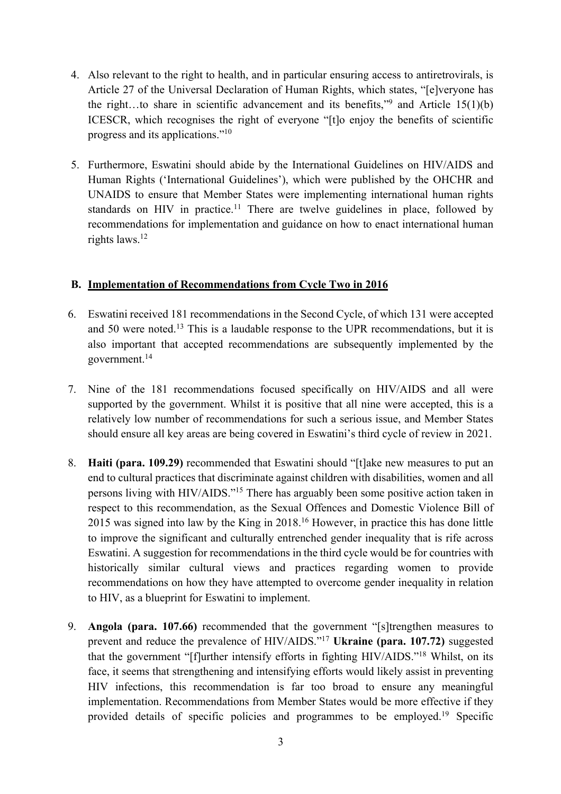- 4. Also relevant to the right to health, and in particular ensuring access to antiretrovirals, is Article 27 of the Universal Declaration of Human Rights, which states, "[e]veryone has the right...to share in scientific advancement and its benefits,"<sup>9</sup> and Article 15(1)(b) ICESCR, which recognises the right of everyone "[t]o enjoy the benefits of scientific progress and its applications."10
- 5. Furthermore, Eswatini should abide by the International Guidelines on HIV/AIDS and Human Rights ('International Guidelines'), which were published by the OHCHR and UNAIDS to ensure that Member States were implementing international human rights standards on HIV in practice.<sup>11</sup> There are twelve guidelines in place, followed by recommendations for implementation and guidance on how to enact international human rights laws.12

## **B. Implementation of Recommendations from Cycle Two in 2016**

- 6. Eswatini received 181 recommendations in the Second Cycle, of which 131 were accepted and 50 were noted.<sup>13</sup> This is a laudable response to the UPR recommendations, but it is also important that accepted recommendations are subsequently implemented by the government.14
- 7. Nine of the 181 recommendations focused specifically on HIV/AIDS and all were supported by the government. Whilst it is positive that all nine were accepted, this is a relatively low number of recommendations for such a serious issue, and Member States should ensure all key areas are being covered in Eswatini's third cycle of review in 2021.
- 8. **Haiti (para. 109.29)** recommended that Eswatini should "[t]ake new measures to put an end to cultural practices that discriminate against children with disabilities, women and all persons living with HIV/AIDS."15 There has arguably been some positive action taken in respect to this recommendation, as the Sexual Offences and Domestic Violence Bill of 2015 was signed into law by the King in 2018.16 However, in practice this has done little to improve the significant and culturally entrenched gender inequality that is rife across Eswatini. A suggestion for recommendations in the third cycle would be for countries with historically similar cultural views and practices regarding women to provide recommendations on how they have attempted to overcome gender inequality in relation to HIV, as a blueprint for Eswatini to implement.
- 9. **Angola (para. 107.66)** recommended that the government "[s]trengthen measures to prevent and reduce the prevalence of HIV/AIDS."17 **Ukraine (para. 107.72)** suggested that the government "[f]urther intensify efforts in fighting HIV/AIDS."18 Whilst, on its face, it seems that strengthening and intensifying efforts would likely assist in preventing HIV infections, this recommendation is far too broad to ensure any meaningful implementation. Recommendations from Member States would be more effective if they provided details of specific policies and programmes to be employed.19 Specific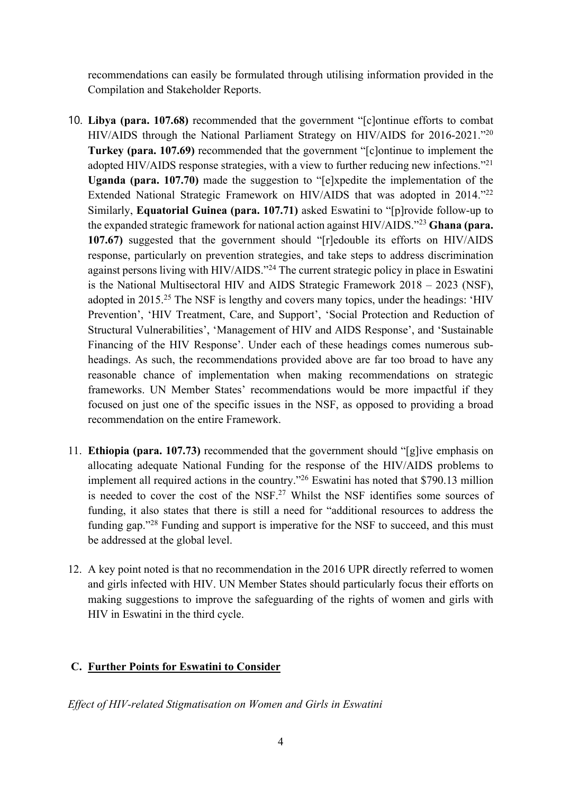recommendations can easily be formulated through utilising information provided in the Compilation and Stakeholder Reports.

- 10. **Libya (para. 107.68)** recommended that the government "[c]ontinue efforts to combat HIV/AIDS through the National Parliament Strategy on HIV/AIDS for 2016-2021."20 **Turkey (para. 107.69)** recommended that the government "[c]ontinue to implement the adopted HIV/AIDS response strategies, with a view to further reducing new infections."<sup>21</sup> **Uganda (para. 107.70)** made the suggestion to "[e]xpedite the implementation of the Extended National Strategic Framework on HIV/AIDS that was adopted in 2014."<sup>22</sup> Similarly, **Equatorial Guinea (para. 107.71)** asked Eswatini to "[p]rovide follow-up to the expanded strategic framework for national action against HIV/AIDS."23 **Ghana (para. 107.67)** suggested that the government should "[r]edouble its efforts on HIV/AIDS response, particularly on prevention strategies, and take steps to address discrimination against persons living with HIV/AIDS."24 The current strategic policy in place in Eswatini is the National Multisectoral HIV and AIDS Strategic Framework 2018 – 2023 (NSF), adopted in 2015.25 The NSF is lengthy and covers many topics, under the headings: 'HIV Prevention', 'HIV Treatment, Care, and Support', 'Social Protection and Reduction of Structural Vulnerabilities', 'Management of HIV and AIDS Response', and 'Sustainable Financing of the HIV Response'. Under each of these headings comes numerous subheadings. As such, the recommendations provided above are far too broad to have any reasonable chance of implementation when making recommendations on strategic frameworks. UN Member States' recommendations would be more impactful if they focused on just one of the specific issues in the NSF, as opposed to providing a broad recommendation on the entire Framework.
- 11. **Ethiopia (para. 107.73)** recommended that the government should "[g]ive emphasis on allocating adequate National Funding for the response of the HIV/AIDS problems to implement all required actions in the country."26 Eswatini has noted that \$790.13 million is needed to cover the cost of the NSF.<sup>27</sup> Whilst the NSF identifies some sources of funding, it also states that there is still a need for "additional resources to address the funding gap."<sup>28</sup> Funding and support is imperative for the NSF to succeed, and this must be addressed at the global level.
- 12. A key point noted is that no recommendation in the 2016 UPR directly referred to women and girls infected with HIV. UN Member States should particularly focus their efforts on making suggestions to improve the safeguarding of the rights of women and girls with HIV in Eswatini in the third cycle.

## **C. Further Points for Eswatini to Consider**

*Effect of HIV-related Stigmatisation on Women and Girls in Eswatini*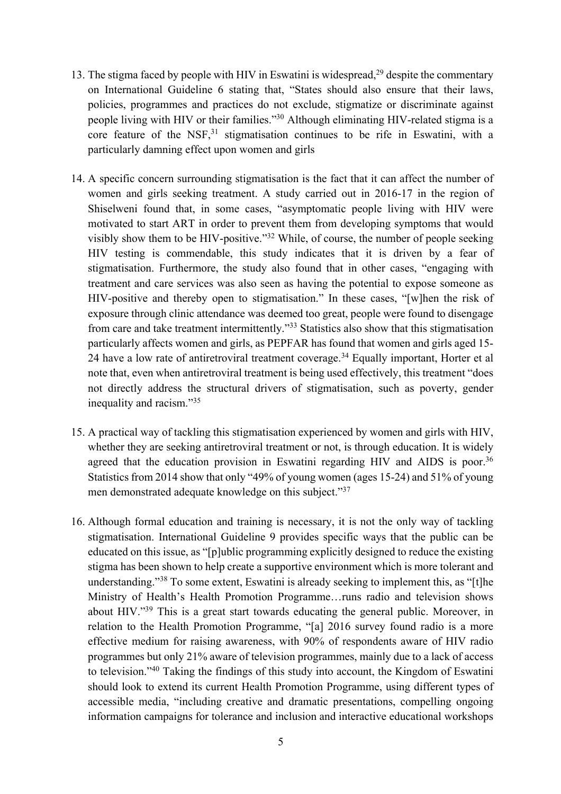- 13. The stigma faced by people with HIV in Eswatini is widespread,<sup>29</sup> despite the commentary on International Guideline 6 stating that, "States should also ensure that their laws, policies, programmes and practices do not exclude, stigmatize or discriminate against people living with HIV or their families."30 Although eliminating HIV-related stigma is a core feature of the NSF,<sup>31</sup> stigmatisation continues to be rife in Eswatini, with a particularly damning effect upon women and girls
- 14. A specific concern surrounding stigmatisation is the fact that it can affect the number of women and girls seeking treatment. A study carried out in 2016-17 in the region of Shiselweni found that, in some cases, "asymptomatic people living with HIV were motivated to start ART in order to prevent them from developing symptoms that would visibly show them to be HIV-positive."32 While, of course, the number of people seeking HIV testing is commendable, this study indicates that it is driven by a fear of stigmatisation. Furthermore, the study also found that in other cases, "engaging with treatment and care services was also seen as having the potential to expose someone as HIV-positive and thereby open to stigmatisation." In these cases, "[w]hen the risk of exposure through clinic attendance was deemed too great, people were found to disengage from care and take treatment intermittently."33 Statistics also show that this stigmatisation particularly affects women and girls, as PEPFAR has found that women and girls aged 15- 24 have a low rate of antiretroviral treatment coverage.<sup>34</sup> Equally important, Horter et al note that, even when antiretroviral treatment is being used effectively, this treatment "does not directly address the structural drivers of stigmatisation, such as poverty, gender inequality and racism."35
- 15. A practical way of tackling this stigmatisation experienced by women and girls with HIV, whether they are seeking antiretroviral treatment or not, is through education. It is widely agreed that the education provision in Eswatini regarding HIV and AIDS is poor.<sup>36</sup> Statistics from 2014 show that only "49% of young women (ages 15-24) and 51% of young men demonstrated adequate knowledge on this subject."<sup>37</sup>
- 16. Although formal education and training is necessary, it is not the only way of tackling stigmatisation. International Guideline 9 provides specific ways that the public can be educated on this issue, as "[p]ublic programming explicitly designed to reduce the existing stigma has been shown to help create a supportive environment which is more tolerant and understanding."38 To some extent, Eswatini is already seeking to implement this, as "[t]he Ministry of Health's Health Promotion Programme…runs radio and television shows about HIV."39 This is a great start towards educating the general public. Moreover, in relation to the Health Promotion Programme, "[a] 2016 survey found radio is a more effective medium for raising awareness, with 90% of respondents aware of HIV radio programmes but only 21% aware of television programmes, mainly due to a lack of access to television."40 Taking the findings of this study into account, the Kingdom of Eswatini should look to extend its current Health Promotion Programme, using different types of accessible media, "including creative and dramatic presentations, compelling ongoing information campaigns for tolerance and inclusion and interactive educational workshops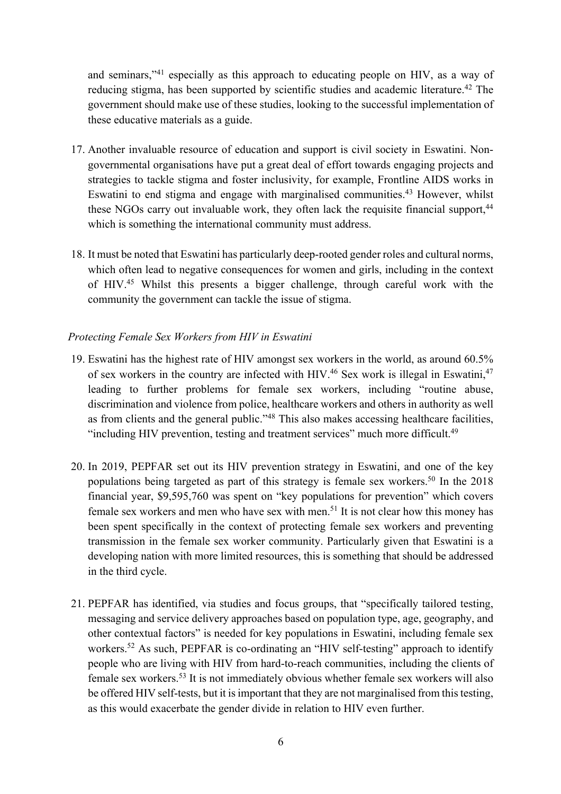and seminars,"41 especially as this approach to educating people on HIV, as a way of reducing stigma, has been supported by scientific studies and academic literature.<sup>42</sup> The government should make use of these studies, looking to the successful implementation of these educative materials as a guide.

- 17. Another invaluable resource of education and support is civil society in Eswatini. Nongovernmental organisations have put a great deal of effort towards engaging projects and strategies to tackle stigma and foster inclusivity, for example, Frontline AIDS works in Eswatini to end stigma and engage with marginalised communities.<sup>43</sup> However, whilst these NGOs carry out invaluable work, they often lack the requisite financial support,<sup>44</sup> which is something the international community must address.
- 18. It must be noted that Eswatini has particularly deep-rooted gender roles and cultural norms, which often lead to negative consequences for women and girls, including in the context of HIV.45 Whilst this presents a bigger challenge, through careful work with the community the government can tackle the issue of stigma.

## *Protecting Female Sex Workers from HIV in Eswatini*

- 19. Eswatini has the highest rate of HIV amongst sex workers in the world, as around 60.5% of sex workers in the country are infected with HIV.<sup>46</sup> Sex work is illegal in Eswatini, $47$ leading to further problems for female sex workers, including "routine abuse, discrimination and violence from police, healthcare workers and others in authority as well as from clients and the general public."48 This also makes accessing healthcare facilities, "including HIV prevention, testing and treatment services" much more difficult.<sup>49</sup>
- 20. In 2019, PEPFAR set out its HIV prevention strategy in Eswatini, and one of the key populations being targeted as part of this strategy is female sex workers.<sup>50</sup> In the 2018 financial year, \$9,595,760 was spent on "key populations for prevention" which covers female sex workers and men who have sex with men.<sup>51</sup> It is not clear how this money has been spent specifically in the context of protecting female sex workers and preventing transmission in the female sex worker community. Particularly given that Eswatini is a developing nation with more limited resources, this is something that should be addressed in the third cycle.
- 21. PEPFAR has identified, via studies and focus groups, that "specifically tailored testing, messaging and service delivery approaches based on population type, age, geography, and other contextual factors" is needed for key populations in Eswatini, including female sex workers.<sup>52</sup> As such, PEPFAR is co-ordinating an "HIV self-testing" approach to identify people who are living with HIV from hard-to-reach communities, including the clients of female sex workers.53 It is not immediately obvious whether female sex workers will also be offered HIV self-tests, but it is important that they are not marginalised from this testing, as this would exacerbate the gender divide in relation to HIV even further.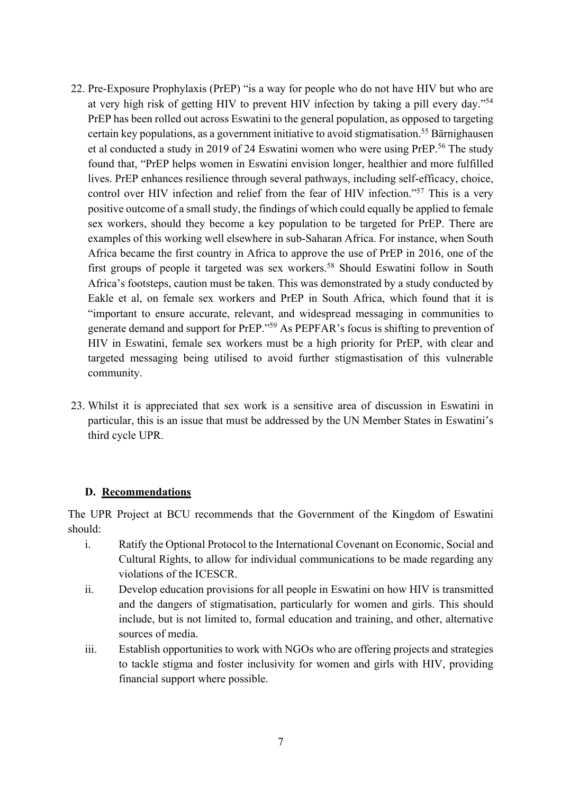- 22. Pre-Exposure Prophylaxis (PrEP) "is a way for people who do not have HIV but who are at very high risk of getting HIV to prevent HIV infection by taking a pill every day."54 PrEP has been rolled out across Eswatini to the general population, as opposed to targeting certain key populations, as a government initiative to avoid stigmatisation.<sup>55</sup> Bärnighausen et al conducted a study in 2019 of 24 Eswatini women who were using PrEP.56 The study found that, "PrEP helps women in Eswatini envision longer, healthier and more fulfilled lives. PrEP enhances resilience through several pathways, including self-efficacy, choice, control over HIV infection and relief from the fear of HIV infection."57 This is a very positive outcome of a small study, the findings of which could equally be applied to female sex workers, should they become a key population to be targeted for PrEP. There are examples of this working well elsewhere in sub-Saharan Africa. For instance, when South Africa became the first country in Africa to approve the use of PrEP in 2016, one of the first groups of people it targeted was sex workers.58 Should Eswatini follow in South Africa's footsteps, caution must be taken. This was demonstrated by a study conducted by Eakle et al, on female sex workers and PrEP in South Africa, which found that it is "important to ensure accurate, relevant, and widespread messaging in communities to generate demand and support for PrEP."59 As PEPFAR's focus is shifting to prevention of HIV in Eswatini, female sex workers must be a high priority for PrEP, with clear and targeted messaging being utilised to avoid further stigmastisation of this vulnerable community.
- 23. Whilst it is appreciated that sex work is a sensitive area of discussion in Eswatini in particular, this is an issue that must be addressed by the UN Member States in Eswatini's third cycle UPR.

## **D. Recommendations**

The UPR Project at BCU recommends that the Government of the Kingdom of Eswatini should:

- i. Ratify the Optional Protocol to the International Covenant on Economic, Social and Cultural Rights, to allow for individual communications to be made regarding any violations of the ICESCR.
- ii. Develop education provisions for all people in Eswatini on how HIV is transmitted and the dangers of stigmatisation, particularly for women and girls. This should include, but is not limited to, formal education and training, and other, alternative sources of media.
- iii. Establish opportunities to work with NGOs who are offering projects and strategies to tackle stigma and foster inclusivity for women and girls with HIV, providing financial support where possible.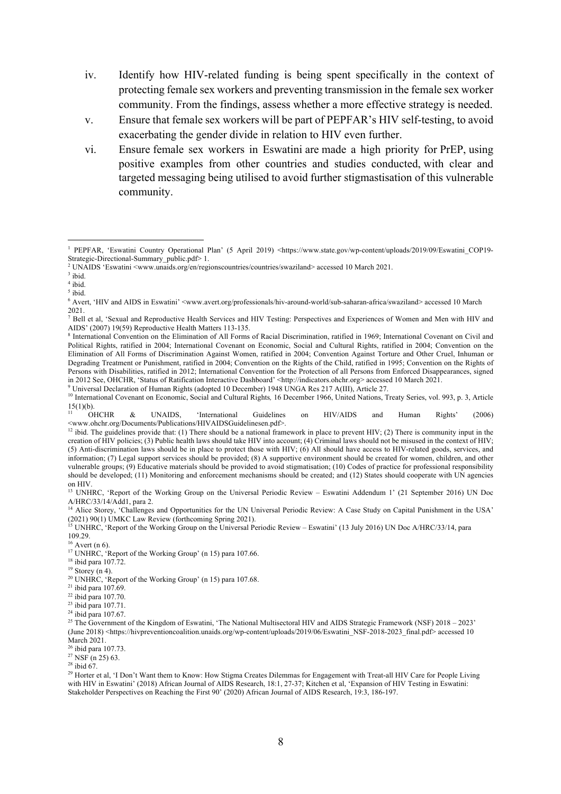- iv. Identify how HIV-related funding is being spent specifically in the context of protecting female sex workers and preventing transmission in the female sex worker community. From the findings, assess whether a more effective strategy is needed.
- v. Ensure that female sex workers will be part of PEPFAR's HIV self-testing, to avoid exacerbating the gender divide in relation to HIV even further.
- vi. Ensure female sex workers in Eswatini are made a high priority for PrEP, using positive examples from other countries and studies conducted, with clear and targeted messaging being utilised to avoid further stigmastisation of this vulnerable community.

<sup>9</sup> Universal Declaration of Human Rights (adopted 10 December) 1948 UNGA Res 217 A(III), Article 27.

<sup>14</sup> Alice Storey, 'Challenges and Opportunities for the UN Universal Periodic Review: A Case Study on Capital Punishment in the USA' (2021) 90(1) UMKC Law Review (forthcoming Spring 2021).

<sup>26</sup> ibid para 107.73.

 $27$  NSF (n 25) 63.

 $28$  ibid 67.

<sup>1</sup> PEPFAR, 'Eswatini Country Operational Plan' (5 April 2019) <https://www.state.gov/wp-content/uploads/2019/09/Eswatini\_COP19- Strategic-Directional-Summary\_public.pdf> 1.

<sup>2</sup> UNAIDS 'Eswatini <www.unaids.org/en/regionscountries/countries/swaziland> accessed 10 March 2021.

<sup>3</sup> ibid.

<sup>4</sup> ibid.

<sup>5</sup> ibid.

<sup>6</sup> Avert, 'HIV and AIDS in Eswatini' <www.avert.org/professionals/hiv-around-world/sub-saharan-africa/swaziland> accessed 10 March 2021.

<sup>7</sup> Bell et al, 'Sexual and Reproductive Health Services and HIV Testing: Perspectives and Experiences of Women and Men with HIV and AIDS' (2007) 19(59) Reproductive Health Matters 113-135.

<sup>8</sup> International Convention on the Elimination of All Forms of Racial Discrimination, ratified in 1969; International Covenant on Civil and Political Rights, ratified in 2004; International Covenant on Economic, Social and Cultural Rights, ratified in 2004; Convention on the Elimination of All Forms of Discrimination Against Women, ratified in 2004; Convention Against Torture and Other Cruel, Inhuman or Degrading Treatment or Punishment, ratified in 2004; Convention on the Rights of the Child, ratified in 1995; Convention on the Rights of Persons with Disabilities, ratified in 2012; International Convention for the Protection of all Persons from Enforced Disappearances, signed in 2012 See, OHCHR, 'Status of Ratification Interactive Dashboard' <http://indicators.ohchr.org> accessed 10 March 2021.

<sup>&</sup>lt;sup>10</sup> International Covenant on Economic, Social and Cultural Rights, 16 December 1966, United Nations, Treaty Series, vol. 993, p. 3, Article  $\frac{15(1)(b)}{0HCHR}$ 

<sup>&</sup>lt;sup>11</sup> OHCHR & UNAIDS, 'International Guidelines on HIV/AIDS and Human Rights' (2006)

<sup>&</sup>lt;www.ohchr.org/Documents/Publications/HIVAIDSGuidelinesen.pdf>. 12 ibid. The guidelines provide that: (1) There should be a national framework in place to prevent HIV; (2) There is community input in the creation of HIV policies; (3) Public health laws should take HIV into account; (4) Criminal laws should not be misused in the context of HIV; (5) Anti-discrimination laws should be in place to protect those with HIV; (6) All should have access to HIV-related goods, services, and information; (7) Legal support services should be provided; (8) A supportive environment should be created for women, children, and other vulnerable groups; (9) Educative materials should be provided to avoid stigmatisation; (10) Codes of practice for professional responsibility should be developed; (11) Monitoring and enforcement mechanisms should be created; and (12) States should cooperate with UN agencies on HIV.

<sup>&</sup>lt;sup>13</sup> UNHRC, 'Report of the Working Group on the Universal Periodic Review – Eswatini Addendum 1' (21 September 2016) UN Doc A/HRC/33/14/Add1, para 2.

<sup>&</sup>lt;sup>15</sup> UNHRC, 'Report of the Working Group on the Universal Periodic Review – Eswatini' (13 July 2016) UN Doc A/HRC/33/14, para 109.29.<br><sup>16</sup> Avert (n 6).

<sup>&</sup>lt;sup>17</sup> UNHRC, 'Report of the Working Group' (n 15) para 107.66.

<sup>18</sup> ibid para 107.72.

 $19$  Storey (n 4).

<sup>&</sup>lt;sup>20</sup> UNHRC, 'Report of the Working Group' (n 15) para 107.68.

 $21$  ibid para 107.69.

<sup>22</sup> ibid para 107.70.

<sup>23</sup> ibid para 107.71.

 $24$  ibid para 107.67.

<sup>&</sup>lt;sup>25</sup> The Government of the Kingdom of Eswatini, 'The National Multisectoral HIV and AIDS Strategic Framework (NSF) 2018 – 2023' (June 2018) <https://hivpreventioncoalition.unaids.org/wp-content/uploads/2019/06/Eswatini\_NSF-2018-2023\_final.pdf> accessed 10 March 2021.

<sup>&</sup>lt;sup>29</sup> Horter et al, 'I Don't Want them to Know: How Stigma Creates Dilemmas for Engagement with Treat-all HIV Care for People Living with HIV in Eswatini' (2018) African Journal of AIDS Research, 18:1, 27-37; Kitchen et al, 'Expansion of HIV Testing in Eswatini: Stakeholder Perspectives on Reaching the First 90' (2020) African Journal of AIDS Research, 19:3, 186-197.